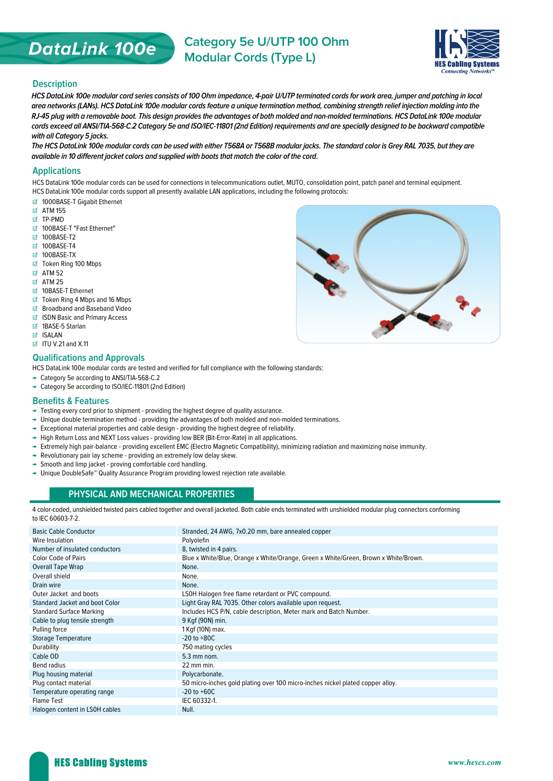# **DataLink 100e**

**Category 5e U/UTP 100 Ohm Modular Cords (Type L)**



#### **Description**

**HCS DataLink 100e modular cord series consists of 100 Ohm impedance, 4-pair U/UTP terminated cords for work area, jumper and patching in local area networks (LANs). HCS DataLink 100e modular cords feature a unique termination method, combining strength relief injection molding into the RJ-45 plug with a removable boot. This design provides the advantages of both molded and non-molded terminations. HCS DataLink 100e modular cords exceed all ANSI/TIA-568-C.2 Category 5e and ISO/IEC-11801 (2nd Edition) requirements and are specially designed to be backward compatible with all Category 5 jacks.**

**The HCS DataLink 100e modular cords can be used with either T568A or T568B modular jacks. The standard color is Grey RAL 7035, but they are**  available in 10 different jacket colors and supplied with boots that match the color of the cord.

#### **Applications**

HCS DataLink 100e modular cords can be used for connections in telecommunications outlet, MUTO, consolidation point, patch panel and terminal equipment.

- HCS DataLink 100e modular cords support all presently available LAN applications, including the following protocols:
- 1000BASE-T Gigabit Ethernet
- $\boxtimes$  ATM 155
- TP-PMD
- 100BASE-T "Fast Ethernet"
- **⊠ 100BASE-T2**
- ⊠ 100BASE-T4
- M<sub>5</sub>100BASE-TX
- Token Ring 100 Mbps
- $\boxtimes$  ATM 52
- $\overline{M}$  ATM 25
- 10BASE-T Ethernet
- $\boxtimes$  Token Ring 4 Mbps and 16 Mbps
- Broadband and Baseband Video
- ISDN Basic and Primary Access
- 1BASE-5 Starlan
- **ISALAN**
- $\boxdot$  ITU V.21 and X.11

#### **Qualifications and Approvals**

HCS DataLink 100e modular cords are tested and verified for full compliance with the following standards:

- → Category 5e according to ANSI/TIA-568-C.2
- → Category 5e according to ISO/IEC-11801 (2nd Edition)

#### **Benefits & Features**

- → Testing every cord prior to shipment providing the highest degree of quality assurance.
- → Unique double termination method providing the advantages of both molded and non-molded terminations.
- → Exceptional material properties and cable design providing the highest degree of reliability.
- → High Return Loss and NEXT Loss values providing low BER (Bit-Error-Rate) in all applications.
- → Extremely high pair-balance providing excellent EMC (Electro Magnetic Compatibility), minimizing radiation and maximizing noise immunity.
- → Revolutionary pair lay scheme providing an extremely low delay skew.
- → Smooth and limp jacket proving comfortable cord handling.
- → Unique DoubleSafe™ Quality Assurance Program providing lowest rejection rate available.

## **PHYSICAL AND MECHANICAL PROPERTIES**

4 color-coded, unshielded twisted pairs cabled together and overall jacketed. Both cable ends terminated with unshielded modular plug connectors conforming to IEC 60603-7-2.

| Stranded, 24 AWG, 7x0.20 mm, bare annealed copper                                   |
|-------------------------------------------------------------------------------------|
| Polyolefin                                                                          |
| 8, twisted in 4 pairs.                                                              |
| Blue x White/Blue, Orange x White/Orange, Green x White/Green, Brown x White/Brown. |
| None.                                                                               |
| None.                                                                               |
| None.                                                                               |
| LSOH Halogen free flame retardant or PVC compound.                                  |
| Light Gray RAL 7035. Other colors available upon request.                           |
| Includes HCS P/N, cable description, Meter mark and Batch Number.                   |
| 9 Kgf (90N) min.                                                                    |
| 1 Kgf (10N) max.                                                                    |
| $-20$ to $+80C$                                                                     |
| 750 mating cycles                                                                   |
| 5.3 mm nom.                                                                         |
| 22 mm min.                                                                          |
| Polycarbonate.                                                                      |
| 50 micro-inches gold plating over 100 micro-inches nickel plated copper alloy.      |
| $-20$ to $+60C$                                                                     |
| IEC 60332-1.                                                                        |
| Null.                                                                               |
|                                                                                     |